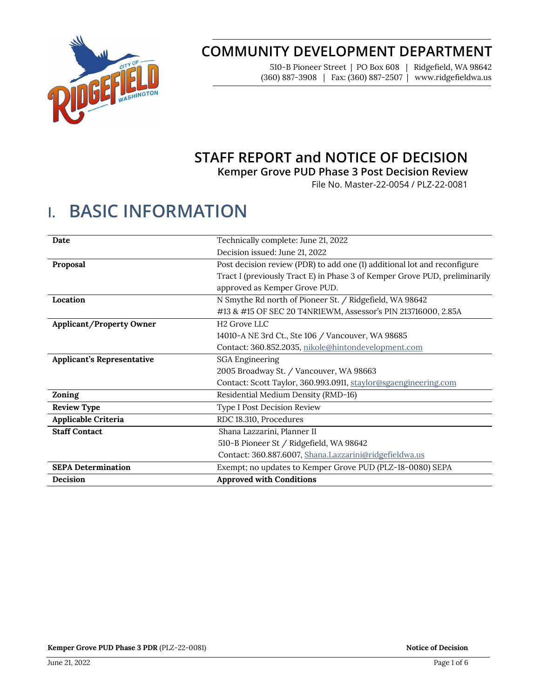

# **COMMUNITY DEVELOPMENT DEPARTMENT**

510-B Pioneer Street | PO Box 608 | Ridgefield, WA 98642 (360) 887-3908 | Fax: (360) 887-2507 | www.ridgefieldwa.us

# **STAFF REPORT and NOTICE OF DECISION**

**Kemper Grove PUD Phase 3 Post Decision Review**

File No. Master-22-0054 / PLZ-22-0081

# **I. BASIC INFORMATION**

| Date                              | Technically complete: June 21, 2022                                        |
|-----------------------------------|----------------------------------------------------------------------------|
|                                   | Decision issued: June 21, 2022                                             |
| Proposal                          | Post decision review (PDR) to add one (1) additional lot and reconfigure   |
|                                   | Tract I (previously Tract E) in Phase 3 of Kemper Grove PUD, preliminarily |
|                                   | approved as Kemper Grove PUD.                                              |
| Location                          | N Smythe Rd north of Pioneer St. / Ridgefield, WA 98642                    |
|                                   | #13 & #15 OF SEC 20 T4NR1EWM, Assessor's PIN 213716000, 2.85A              |
| <b>Applicant/Property Owner</b>   | H <sub>2</sub> Grove LLC                                                   |
|                                   | 14010-A NE 3rd Ct., Ste 106 / Vancouver, WA 98685                          |
|                                   | Contact: 360.852.2035, nikole@hintondevelopment.com                        |
| <b>Applicant's Representative</b> | <b>SGA Engineering</b>                                                     |
|                                   | 2005 Broadway St. / Vancouver, WA 98663                                    |
|                                   | Contact: Scott Taylor, 360.993.0911, staylor@sgaengineering.com            |
| Zoning                            | Residential Medium Density (RMD-16)                                        |
| <b>Review Type</b>                | Type I Post Decision Review                                                |
| Applicable Criteria               | RDC 18.310, Procedures                                                     |
| <b>Staff Contact</b>              | Shana Lazzarini, Planner II                                                |
|                                   | 510-B Pioneer St / Ridgefield, WA 98642                                    |
|                                   | Contact: 360.887.6007, Shana.Lazzarini@ridgefieldwa.us                     |
| <b>SEPA Determination</b>         | Exempt; no updates to Kemper Grove PUD (PLZ-18-0080) SEPA                  |
| Decision                          | <b>Approved with Conditions</b>                                            |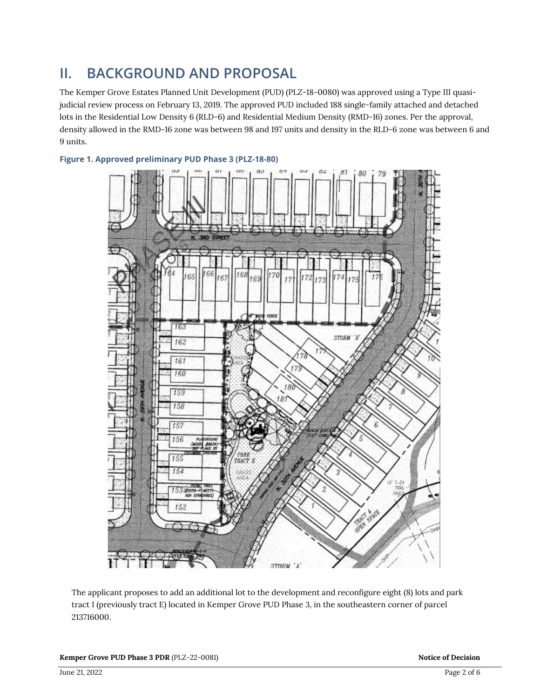# **II. BACKGROUND AND PROPOSAL**

The Kemper Grove Estates Planned Unit Development (PUD) (PLZ-18-0080) was approved using a Type III quasijudicial review process on February 13, 2019. The approved PUD included 188 single-family attached and detached lots in the Residential Low Density 6 (RLD-6) and Residential Medium Density (RMD-16) zones. Per the approval, density allowed in the RMD-16 zone was between 98 and 197 units and density in the RLD-6 zone was between 6 and 9 units.



### **Figure 1. Approved preliminary PUD Phase 3 (PLZ-18-80)**

The applicant proposes to add an additional lot to the development and reconfigure eight (8) lots and park tract I (previously tract E) located in Kemper Grove PUD Phase 3, in the southeastern corner of parcel 213716000.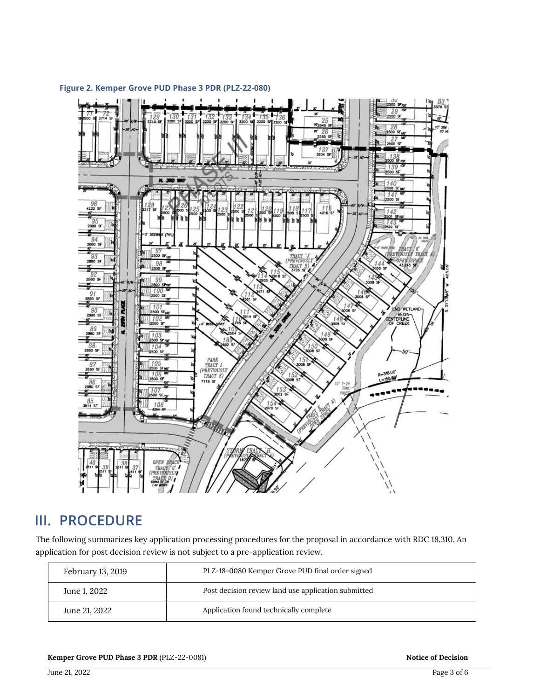

### **Figure 2. Kemper Grove PUD Phase 3 PDR (PLZ-22-080)**

### **III. PROCEDURE**

The following summarizes key application processing procedures for the proposal in accordance with RDC 18.310. An application for post decision review is not subject to a pre-application review.

| February 13, 2019 | PLZ-18-0080 Kemper Grove PUD final order signed     |
|-------------------|-----------------------------------------------------|
| June 1, 2022      | Post decision review land use application submitted |
| June 21, 2022     | Application found technically complete              |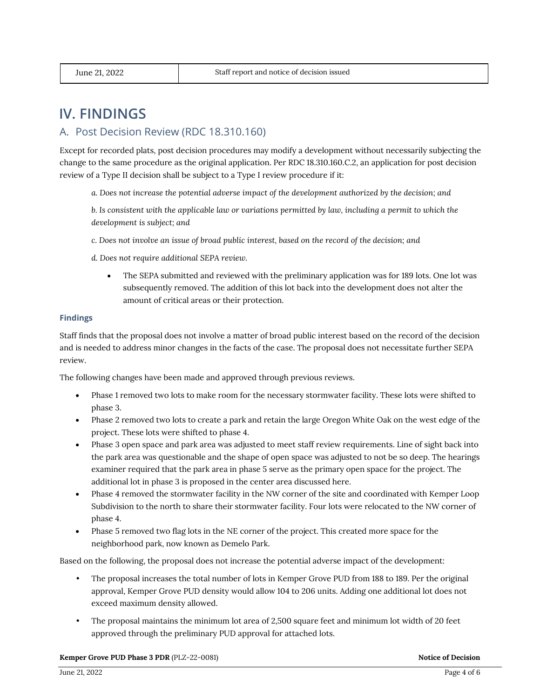## **IV. FINDINGS**

### A. Post Decision Review (RDC 18.310.160)

Except for recorded plats, post decision procedures may modify a development without necessarily subjecting the change to the same procedure as the original application. Per RDC 18.310.160.C.2, an application for post decision review of a Type II decision shall be subject to a Type I review procedure if it:

*a. Does not increase the potential adverse impact of the development authorized by the decision; and*

*b. Is consistent with the applicable law or variations permitted by law, including a permit to which the development is subject; and*

- *c. Does not involve an issue of broad public interest, based on the record of the decision; and*
- *d. Does not require additional SEPA review.*
	- The SEPA submitted and reviewed with the preliminary application was for 189 lots. One lot was subsequently removed. The addition of this lot back into the development does not alter the amount of critical areas or their protection.

#### **Findings**

Staff finds that the proposal does not involve a matter of broad public interest based on the record of the decision and is needed to address minor changes in the facts of the case. The proposal does not necessitate further SEPA review.

The following changes have been made and approved through previous reviews.

- Phase 1 removed two lots to make room for the necessary stormwater facility. These lots were shifted to phase 3.
- Phase 2 removed two lots to create a park and retain the large Oregon White Oak on the west edge of the project. These lots were shifted to phase 4.
- Phase 3 open space and park area was adjusted to meet staff review requirements. Line of sight back into the park area was questionable and the shape of open space was adjusted to not be so deep. The hearings examiner required that the park area in phase 5 serve as the primary open space for the project. The additional lot in phase 3 is proposed in the center area discussed here.
- Phase 4 removed the stormwater facility in the NW corner of the site and coordinated with Kemper Loop Subdivision to the north to share their stormwater facility. Four lots were relocated to the NW corner of phase 4.
- Phase 5 removed two flag lots in the NE corner of the project. This created more space for the neighborhood park, now known as Demelo Park.

Based on the following, the proposal does not increase the potential adverse impact of the development:

- The proposal increases the total number of lots in Kemper Grove PUD from 188 to 189. Per the original approval, Kemper Grove PUD density would allow 104 to 206 units. Adding one additional lot does not exceed maximum density allowed.
- The proposal maintains the minimum lot area of 2,500 square feet and minimum lot width of 20 feet approved through the preliminary PUD approval for attached lots.

#### **Kemper Grove PUD Phase 3 PDR** (PLZ-22-0081) **Notice of Decision Notice of Decision**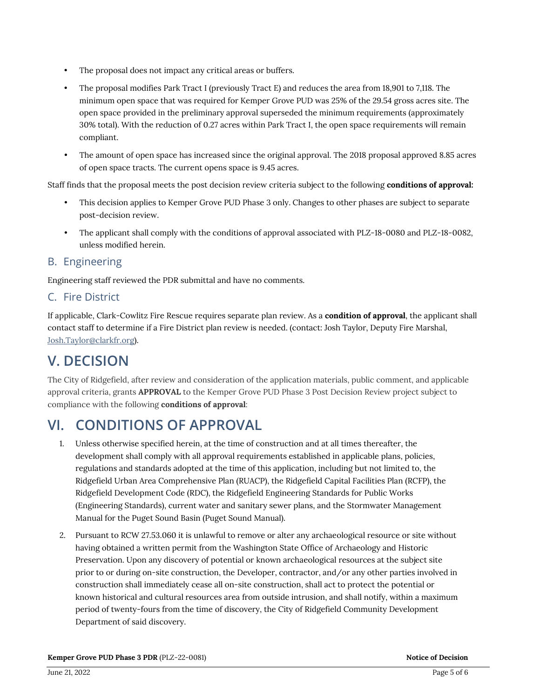- The proposal does not impact any critical areas or buffers.
- The proposal modifies Park Tract I (previously Tract E) and reduces the area from 18,901 to 7,118. The minimum open space that was required for Kemper Grove PUD was 25% of the 29.54 gross acres site. The open space provided in the preliminary approval superseded the minimum requirements (approximately 30% total). With the reduction of 0.27 acres within Park Tract I, the open space requirements will remain compliant.
- The amount of open space has increased since the original approval. The 2018 proposal approved 8.85 acres of open space tracts. The current opens space is 9.45 acres.

Staff finds that the proposal meets the post decision review criteria subject to the following **conditions of approval:**

- This decision applies to Kemper Grove PUD Phase 3 only. Changes to other phases are subject to separate post-decision review.
- The applicant shall comply with the conditions of approval associated with PLZ-18-0080 and PLZ-18-0082, unless modified herein.

### B. Engineering

Engineering staff reviewed the PDR submittal and have no comments.

### C. Fire District

If applicable, Clark-Cowlitz Fire Rescue requires separate plan review. As a **condition of approval**, the applicant shall contact staff to determine if a Fire District plan review is needed. (contact: Josh Taylor, Deputy Fire Marshal, [Josh.Taylor@clarkfr.org\)](mailto:Josh.Taylor@clarkfr.org).

# **V. DECISION**

The City of Ridgefield, after review and consideration of the application materials, public comment, and applicable approval criteria, grants **APPROVAL** to the Kemper Grove PUD Phase 3 Post Decision Review project subject to compliance with the following **conditions of approval**:

# **VI. CONDITIONS OF APPROVAL**

- 1. Unless otherwise specified herein, at the time of construction and at all times thereafter, the development shall comply with all approval requirements established in applicable plans, policies, regulations and standards adopted at the time of this application, including but not limited to, the Ridgefield Urban Area Comprehensive Plan (RUACP), the Ridgefield Capital Facilities Plan (RCFP), the Ridgefield Development Code (RDC), the Ridgefield Engineering Standards for Public Works (Engineering Standards), current water and sanitary sewer plans, and the Stormwater Management Manual for the Puget Sound Basin (Puget Sound Manual).
- 2. Pursuant to RCW 27.53.060 it is unlawful to remove or alter any archaeological resource or site without having obtained a written permit from the Washington State Office of Archaeology and Historic Preservation. Upon any discovery of potential or known archaeological resources at the subject site prior to or during on-site construction, the Developer, contractor, and/or any other parties involved in construction shall immediately cease all on-site construction, shall act to protect the potential or known historical and cultural resources area from outside intrusion, and shall notify, within a maximum period of twenty-fours from the time of discovery, the City of Ridgefield Community Development Department of said discovery.